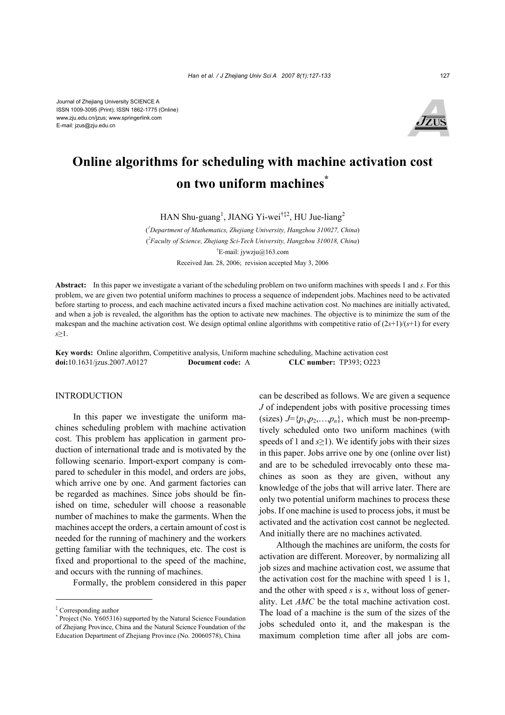Journal of Zhejiang University SCIENCE A ISSN 1009-3095 (Print); ISSN 1862-1775 (Online) www.zju.edu.cn/jzus; www.springerlink.com E-mail: jzus@zju.edu.cn



# **Online algorithms for scheduling with machine activation cost on two uniform machines\***

HAN Shu-guang<sup>1</sup>, JIANG Yi-wei<sup>†‡2</sup>, HU Jue-liang<sup>2</sup>

( *1 Department of Mathematics, Zhejiang University, Hangzhou 310027, China*) ( *2 Faculty of Science, Zhejiang Sci-Tech University, Hangzhou 310018, China*) † E-mail: jywzju@163.com Received Jan. 28, 2006; revision accepted May 3, 2006

**Abstract:** In this paper we investigate a variant of the scheduling problem on two uniform machines with speeds 1 and *s*. For this problem, we are given two potential uniform machines to process a sequence of independent jobs. Machines need to be activated before starting to process, and each machine activated incurs a fixed machine activation cost. No machines are initially activated, and when a job is revealed, the algorithm has the option to activate new machines. The objective is to minimize the sum of the makespan and the machine activation cost. We design optimal online algorithms with competitive ratio of (2*s*+1)/(*s*+1) for every *s*≥1.

**Key words:** Online algorithm, Competitive analysis, Uniform machine scheduling, Machine activation cost **doi:**10.1631/jzus.2007.A0127 **Document code:** A **CLC number:** TP393; O223

# **INTRODUCTION**

In this paper we investigate the uniform machines scheduling problem with machine activation cost. This problem has application in garment production of international trade and is motivated by the following scenario. Import-export company is compared to scheduler in this model, and orders are jobs, which arrive one by one. And garment factories can be regarded as machines. Since jobs should be finished on time, scheduler will choose a reasonable number of machines to make the garments. When the machines accept the orders, a certain amount of cost is needed for the running of machinery and the workers getting familiar with the techniques, etc. The cost is fixed and proportional to the speed of the machine, and occurs with the running of machines.

Formally, the problem considered in this paper

can be described as follows. We are given a sequence *J* of independent jobs with positive processing times (sizes)  $J = \{p_1, p_2, \ldots, p_n\}$ , which must be non-preemptively scheduled onto two uniform machines (with speeds of 1 and *s*≥1). We identify jobs with their sizes in this paper. Jobs arrive one by one (online over list) and are to be scheduled irrevocably onto these machines as soon as they are given, without any knowledge of the jobs that will arrive later. There are only two potential uniform machines to process these jobs. If one machine is used to process jobs, it must be activated and the activation cost cannot be neglected. And initially there are no machines activated.

Although the machines are uniform, the costs for activation are different. Moreover, by normalizing all job sizes and machine activation cost, we assume that the activation cost for the machine with speed 1 is 1, and the other with speed *s* is *s*, without loss of generality. Let *AMC* be the total machine activation cost. The load of a machine is the sum of the sizes of the jobs scheduled onto it, and the makespan is the maximum completion time after all jobs are com-

<sup>‡</sup> Corresponding author

<sup>\*</sup> Project (No. Y605316) supported by the Natural Science Foundation of Zhejiang Province, China and the Natural Science Foundation of the Education Department of Zhejiang Province (No. 20060578), China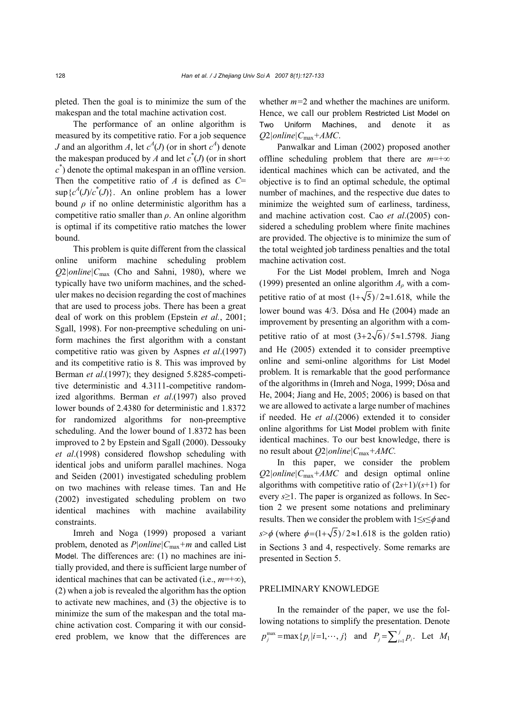pleted. Then the goal is to minimize the sum of the makespan and the total machine activation cost.

The performance of an online algorithm is measured by its competitive ratio. For a job sequence *J* and an algorithm *A*, let  $c^A$ (*J*) (or in short  $c^A$ ) denote the makespan produced by *A* and let  $c^*(J)$  (or in short  $c^*$ ) denote the optimal makespan in an offline version. Then the competitive ratio of *A* is defined as *C*=  $\sup \{c^A(J)/c^*(J)\}\$ . An online problem has a lower bound  $\rho$  if no online deterministic algorithm has a competitive ratio smaller than *ρ*. An online algorithm is optimal if its competitive ratio matches the lower bound.

This problem is quite different from the classical online uniform machine scheduling problem *Q*2*|online|C*max (Cho and Sahni, 1980), where we typically have two uniform machines, and the scheduler makes no decision regarding the cost of machines that are used to process jobs. There has been a great deal of work on this problem (Epstein *et al.*, 2001; Sgall, 1998). For non-preemptive scheduling on uniform machines the first algorithm with a constant competitive ratio was given by Aspnes *et al*.(1997) and its competitive ratio is 8. This was improved by Berman *et al*.(1997); they designed 5.8285-competitive deterministic and 4.3111-competitive randomized algorithms. Berman *et al*.(1997) also proved lower bounds of 2.4380 for deterministic and 1.8372 for randomized algorithms for non-preemptive scheduling. And the lower bound of 1.8372 has been improved to 2 by Epstein and Sgall (2000). Dessouky *et al*.(1998) considered flowshop scheduling with identical jobs and uniform parallel machines. Noga and Seiden (2001) investigated scheduling problem on two machines with release times. Tan and He (2002) investigated scheduling problem on two identical machines with machine availability constraints.

Imreh and Noga (1999) proposed a variant problem, denoted as *P|online|C*max*+m* and called List Model. The differences are: (1) no machines are initially provided, and there is sufficient large number of identical machines that can be activated (i.e.,  $m=+\infty$ ), (2) when a job is revealed the algorithm has the option to activate new machines, and (3) the objective is to minimize the sum of the makespan and the total machine activation cost. Comparing it with our considered problem, we know that the differences are

whether *m=*2 and whether the machines are uniform. Hence, we call our problem Restricted List Model on Two Uniform Machines, and denote it as *Q*2*|online|C*max*+AMC*.

Panwalkar and Liman (2002) proposed another offline scheduling problem that there are *m*=+∞ identical machines which can be activated, and the objective is to find an optimal schedule, the optimal number of machines, and the respective due dates to minimize the weighted sum of earliness, tardiness, and machine activation cost. Cao *et al*.(2005) considered a scheduling problem where finite machines are provided. The objective is to minimize the sum of the total weighted job tardiness penalties and the total machine activation cost.

For the List Model problem, Imreh and Noga (1999) presented an online algorithm  $A_\rho$  with a competitive ratio of at most  $(1+\sqrt{5})/2 \approx 1.618$ , while the lower bound was 4/3. Dósa and He (2004) made an improvement by presenting an algorithm with a competitive ratio of at most  $\left(\frac{3+2\sqrt{6}}{5}\right)$  / 5  $\approx$  1.5798. Jiang and He (2005) extended it to consider preemptive online and semi-online algorithms for List Model problem. It is remarkable that the good performance of the algorithms in (Imreh and Noga, 1999; Dósa and He, 2004; Jiang and He, 2005; 2006) is based on that we are allowed to activate a large number of machines if needed. He *et al*.(2006) extended it to consider online algorithms for List Model problem with finite identical machines. To our best knowledge, there is no result about *Q*2*|online|C*max*+AMC.* 

In this paper, we consider the problem  $Q2|online|C_{\text{max}}+AMC$  and design optimal online algorithms with competitive ratio of  $(2s+1)/(s+1)$  for every *s*≥1. The paper is organized as follows. In Section 2 we present some notations and preliminary results. Then we consider the problem with 1≤*s*≤φ and *s*> $\phi$  (where  $\phi = (1 + \sqrt{5})/2 \approx 1.618$  is the golden ratio) in Sections 3 and 4, respectively. Some remarks are presented in Section 5.

# PRELIMINARY KNOWLEDGE

In the remainder of the paper, we use the following notations to simplify the presentation. Denote  $p_j^{\text{max}} = \max\{p_i|i=1,\dots,j\}$  and  $P_j = \sum_{i=1}^j p_i$ . Let  $M_1$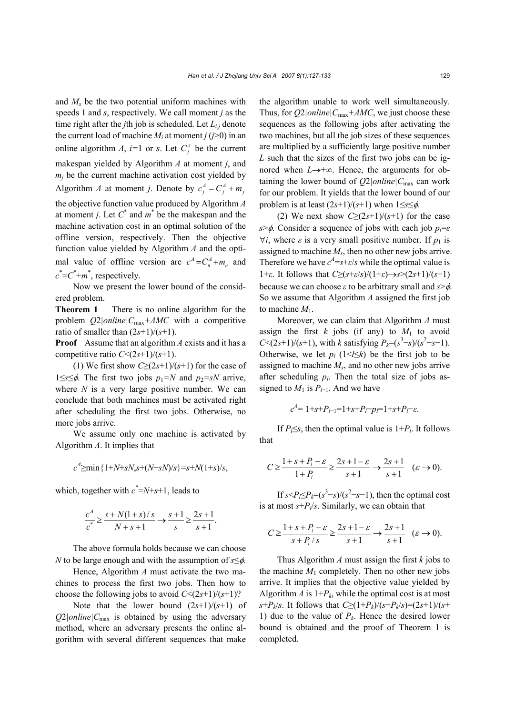and  $M_s$  be the two potential uniform machines with speeds 1 and *s*, respectively. We call moment *j* as the time right after the *j*th job is scheduled. Let *Li*,*j* denote the current load of machine  $M_i$  at moment *j* ( $j$ >0) in an online algorithm *A*, *i*=1 or *s*. Let  $C_i^A$  be the current makespan yielded by Algorithm *A* at moment *j*, and  $m_i$  be the current machine activation cost yielded by Algorithm *A* at moment *j*. Denote by  $c_j^A = C_j^A + m_j$ the objective function value produced by Algorithm *A*  at moment *j*. Let  $C^*$  and  $m^*$  be the makespan and the machine activation cost in an optimal solution of the offline version, respectively. Then the objective function value yielded by Algorithm *A* and the optimal value of offline version are  $c^A = C_n^A + m_n$  and  $c^*$ = $C^*$ + $m^*$ , respectively.

Now we present the lower bound of the considered problem.

**Theorem 1** There is no online algorithm for the problem  $Q2|online|C_{max}+AMC$  with a competitive ratio of smaller than  $(2s+1)/(s+1)$ .

**Proof** Assume that an algorithm *A* exists and it has a competitive ratio  $C \leq (2s+1)/(s+1)$ .

(1) We first show  $C\geq (2s+1)/(s+1)$  for the case of 1≤*s*≤ $\phi$ . The first two jobs *p*<sub>1</sub>=*N* and *p*<sub>2</sub>=*sN* arrive, where *N* is a very large positive number. We can conclude that both machines must be activated right after scheduling the first two jobs. Otherwise, no more jobs arrive.

We assume only one machine is activated by Algorithm *A*. It implies that

$$
c^4 \ge \min\{1+N+sN, s+(N+sN)/s\} = s+N(1+s)/s,
$$

which, together with  $c^* = N + s + 1$ , leads to

$$
\frac{c^4}{c^*} \ge \frac{s + N(1+s)/s}{N+s+1} \longrightarrow \frac{s+1}{s} \ge \frac{2s+1}{s+1}.
$$

The above formula holds because we can choose *N* to be large enough and with the assumption of *s*≤φ.

Hence, Algorithm *A* must activate the two machines to process the first two jobs. Then how to choose the following jobs to avoid  $C \leq (2s+1)/(s+1)$ ?

Note that the lower bound  $(2s+1)/(s+1)$  of  $Q2|online|C_{\text{max}}$  is obtained by using the adversary method, where an adversary presents the online algorithm with several different sequences that make

the algorithm unable to work well simultaneously. Thus, for *Q*2*|online|C*max*+AMC*, we just choose these sequences as the following jobs after activating the two machines, but all the job sizes of these sequences are multiplied by a sufficiently large positive number *L* such that the sizes of the first two jobs can be ignored when *L*→+∞. Hence, the arguments for obtaining the lower bound of  $O2|online|C_{max}$  can work for our problem. It yields that the lower bound of our problem is at least  $(2s+1)/(s+1)$  when  $1 \leq s \leq \phi$ .

(2) We next show  $C\geq (2s+1)/(s+1)$  for the case *s*>φ. Consider a sequence of jobs with each job *pi*=*ε*  $\forall i$ , where  $\varepsilon$  is a very small positive number. If  $p_1$  is assigned to machine  $M_s$ , then no other new jobs arrive. Therefore we have  $c^4 = s + \varepsilon/s$  while the optimal value is 1+*ε*. It follows that *C*≥(*s*+*ε*/*s*)/(1+*ε*)→*s*>(2*s*+1)/(*s*+1) because we can choose *ε* to be arbitrary small and *s*>φ. So we assume that Algorithm *A* assigned the first job to machine  $M_1$ .

Moreover, we can claim that Algorithm *A* must assign the first  $k$  jobs (if any) to  $M_1$  to avoid *C*<(2*s*+1)/(*s*+1), with *k* satisfying  $P_k = (s^3 - s)/(s^2 - s - 1)$ . Otherwise, we let  $p_l$  (1<*l*≤*k*) be the first job to be assigned to machine *Ms*, and no other new jobs arrive after scheduling  $p_l$ . Then the total size of jobs assigned to  $M_1$  is  $P_{l-1}$ . And we have

$$
c^{A} = 1 + s + P_{l-1} = 1 + s + P_l - p_l = 1 + s + P_l - \varepsilon.
$$

If *P*<sub> $\leq$ S</sub>, then the optimal value is 1+*P*<sub>*l*</sub>. It follows that

$$
C \ge \frac{1+s+p_i-\varepsilon}{1+p_i} \ge \frac{2s+1-\varepsilon}{s+1} \to \frac{2s+1}{s+1} \quad (\varepsilon \to 0).
$$

If  $s < P \leq P_k = (s^3 - s)/(s^2 - s - 1)$ , then the optimal cost is at most  $s + P_l/s$ . Similarly, we can obtain that

$$
C \ge \frac{1+s+P_i-\varepsilon}{s+P_i/s} \ge \frac{2s+1-\varepsilon}{s+1} \to \frac{2s+1}{s+1} \quad (\varepsilon \to 0).
$$

Thus Algorithm *A* must assign the first *k* jobs to the machine  $M_1$  completely. Then no other new jobs arrive. It implies that the objective value yielded by Algorithm  $A$  is  $1+P_k$ , while the optimal cost is at most *s*+*P<sub>k</sub>*/*s*. It follows that  $C \geq (1+P_k)/(s+P_k/s)=(2s+1)/(s+$ 1) due to the value of  $P_k$ . Hence the desired lower bound is obtained and the proof of Theorem 1 is completed.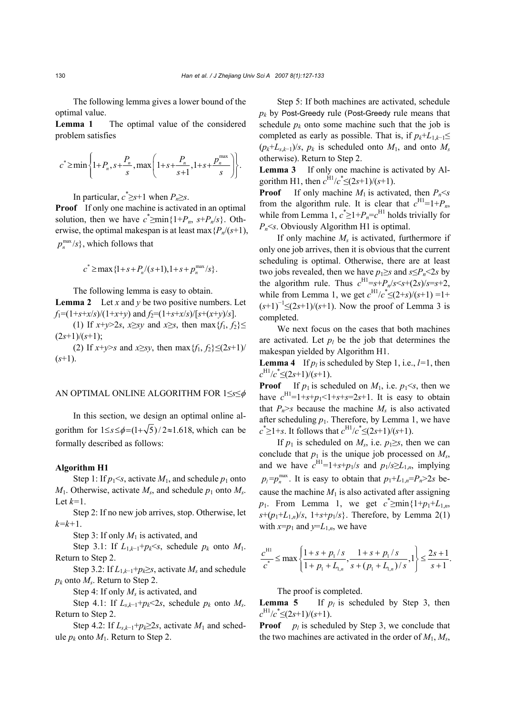The following lemma gives a lower bound of the optimal value.

**Lemma 1** The optimal value of the considered problem satisfies

$$
c^* \ge \min \left\{ 1 + P_n, s + \frac{P_n}{s}, \max \left( 1 + s + \frac{P_n}{s+1}, 1 + s + \frac{P_n^{\max}}{s} \right) \right\}.
$$

In particular,  $c^* \geq s+1$  when  $P_n \geq s$ .

**Proof** If only one machine is activated in an optimal solution, then we have  $c^* \geq \min\{1+P_n, s+P_n/s\}$ . Otherwise, the optimal makespan is at least max  ${P_n/(s+1)}$ ,  $p_n^{\max}/s$ , which follows that

$$
c^* \ge \max\{1+s+P_n/(s+1), 1+s+p_n^{\max}/s\}.
$$

The following lemma is easy to obtain.

**Lemma 2** Let *x* and *y* be two positive numbers. Let  $f_1 = (1+s+x/s)/(1+x+y)$  and  $f_2 = (1+s+x/s)/[s+(x+y)/s]$ .

(1) If *x*+*y*>2*s*, *x*≥*sy* and *x*≥*s*, then max {*f*<sub>1</sub>, *f*<sub>2</sub>}≤  $(2s+1)/(s+1);$ 

(2) If  $x+y>s$  and  $x\geq sy$ , then max  ${f_1, f_2} \leq (2s+1)/1$ (*s*+1).

## AN OPTIMAL ONLINE ALGORITHM FOR 1≤*s*≤φ

In this section, we design an optimal online algorithm for  $1 \leq s \leq \phi = (1 + \sqrt{5}) / 2 \approx 1.618$ , which can be formally described as follows:

## **Algorithm H1**

Step 1: If  $p_1 \leq s$ , activate  $M_1$ , and schedule  $p_1$  onto  $M_1$ . Otherwise, activate  $M_s$ , and schedule  $p_1$  onto  $M_s$ . Let *k=*1.

Step 2: If no new job arrives, stop. Otherwise, let *k=k+*1.

Step 3: If only  $M_1$  is activated, and

Step 3.1: If  $L_{1,k-1}+p_k\leq s$ , schedule  $p_k$  onto  $M_1$ . Return to Step 2.

Step 3.2: If  $L_{1,k-1}$ + $p_k \geq s$ , activate  $M_s$  and schedule *pk* onto *Ms*. Return to Step 2.

Step 4: If only  $M_s$  is activated, and

Step 4.1: If  $L_{s,k-1}+p_k<2s$ , schedule  $p_k$  onto  $M_s$ . Return to Step 2.

Step 4.2: If  $L_{s,k-1}+p_k \geq 2s$ , activate  $M_1$  and schedule  $p_k$  onto  $M_1$ . Return to Step 2.

Step 5: If both machines are activated, schedule *pk* by Post-Greedy rule (Post-Greedy rule means that schedule  $p_k$  onto some machine such that the job is completed as early as possible. That is, if  $p_k + L_{1,k-1} \leq$  $(p_k+L_{s,k-1})/s$ ,  $p_k$  is scheduled onto  $M_1$ , and onto  $M_s$ otherwise). Return to Step 2.

**Lemma 3** If only one machine is activated by Algorithm H1, then  $c^{H1}/c^* \leq (2s+1)/(s+1)$ .

**Proof** If only machine  $M_1$  is activated, then  $P_n \leq s$ from the algorithm rule. It is clear that  $c^{H1}=1+P_n$ , while from Lemma 1,  $c^* \geq 1 + P_n = c^{H1}$  holds trivially for *Pn*<*s*. Obviously Algorithm H1 is optimal.

If only machine *M<sub>s</sub>* is activated, furthermore if only one job arrives, then it is obvious that the current scheduling is optimal. Otherwise, there are at least two jobs revealed, then we have  $p_1 \geq s$  and  $s \leq P_n \leq 2s$  by the algorithm rule. Thus  $c^{H1}=s+P_n/s\leq s+(2s)/s=s+2$ , while from Lemma 1, we get  $c^{H1}/c^* \leq (2+s)/(s+1) = 1+$  $(s+1)^{-1}$ ≤(2*s*+1)/(*s*+1). Now the proof of Lemma 3 is completed.

We next focus on the cases that both machines are activated. Let  $p_l$  be the job that determines the makespan yielded by Algorithm H1.

**Lemma 4** If  $p_l$  is scheduled by Step 1, i.e.,  $l=1$ , then  $c^{\text{H1}}/c^* \leq (2s+1)/(s+1)$ .

**Proof** If  $p_1$  is scheduled on  $M_1$ , i.e.  $p_1 \leq s$ , then we have  $c^{H1}=1+s+p_1<1+s+s=2s+1$ . It is easy to obtain that  $P_n$ >s because the machine  $M_s$  is also activated after scheduling  $p_1$ . Therefore, by Lemma 1, we have  $c^* \geq 1+s$ . It follows that  $c^{\text{H1}}/c^* \leq (2s+1)/(s+1)$ .

If  $p_1$  is scheduled on  $M_s$ , i.e.  $p_1 \geq s$ , then we can conclude that  $p_1$  is the unique job processed on  $M_s$ , and we have  $c^{H1}=1+s+p_1/s$  and  $p_1/s \ge L_{1,n}$ , implying  $p_1 = p_n^{\text{max}}$ . It is easy to obtain that  $p_1 + L_{1,n} = P_n > 2s$  because the machine  $M_1$  is also activated after assigning *p*<sub>1</sub>. From Lemma 1, we get  $c^* \geq \min\{1+p_1+L_{1,n},\}$  $s+(p_1+L_{1,n})/s$ ,  $1+s+p_1/s$ . Therefore, by Lemma 2(1) with  $x=p_1$  and  $y=L_{1,n}$ , we have

$$
\frac{c^{H1}}{c^*} \le \max\left\{\frac{1+s+p_1/s}{1+p_1+L_{1,n}}, \frac{1+s+p_1/s}{s+(p_1+L_{1,n})/s}, 1\right\} \le \frac{2s+1}{s+1}.
$$

The proof is completed.

**Lemma 5** If  $p_i$  is scheduled by Step 3, then  $c^{\text{H1}}/c^* \leq (2s+1)/(s+1)$ .

**Proof**  $p_l$  is scheduled by Step 3, we conclude that the two machines are activated in the order of  $M_1, M_s$ ,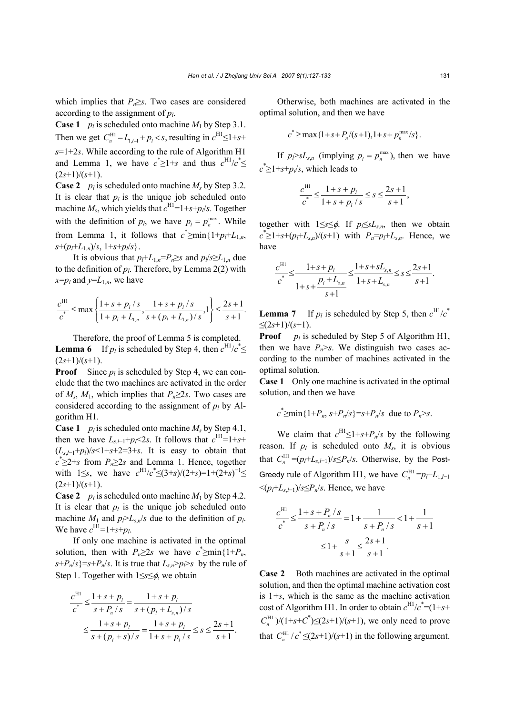which implies that  $P_n \geq s$ . Two cases are considered according to the assignment of *pl*.

**Case 1** *p<sub>l</sub>* is scheduled onto machine  $M_1$  by Step 3.1. Then we get  $C_n^{\text{H1}} = L_{1, l-1} + p_l < s$ , resulting in  $c^{\text{H1}} \leq 1 + s +$ *s*=1+2*s*. While according to the rule of Algorithm H1 and Lemma 1, we have  $c^* \geq 1+s$  and thus  $c^{\text{H1}}/c^* \leq$  $(2s+1)/(s+1)$ .

**Case 2** *p<sub>l</sub>* is scheduled onto machine  $M_s$  by Step 3.2. It is clear that  $p_l$  is the unique job scheduled onto machine  $M_s$ , which yields that  $c^{H1}=1+s+p/s$ . Together with the definition of  $p_l$ , we have  $p_l = p_n^{\max}$ . While from Lemma 1, it follows that  $c^* \geq \min\{1 + p_f + L_{1,n},\}$  $s+(p_f+L_1)_s$ ,  $1+s+p_s$ .

It is obvious that  $p_l$ + $L_1$ <sub>*n*</sub>= $P_n$ ≥*s* and  $p_l$ /*s*≥ $L_1$ <sub>*n*</sub> due to the definition of  $p_l$ . Therefore, by Lemma 2(2) with *x*= $p_l$  and *y*= $L_{1,n}$ , we have

$$
\frac{c^{H1}}{c^*} \le \max\left\{\frac{1+s+p_l/s}{1+p_l+L_{l,n}}, \frac{1+s+p_l/s}{s+(p_l+L_{l,n})/s}, 1\right\} \le \frac{2s+1}{s+1}.
$$

Therefore, the proof of Lemma 5 is completed. **Lemma 6** If  $p_l$  is scheduled by Step 4, then  $c^{H1}/c^* \leq$  $(2s+1)/(s+1)$ .

**Proof** Since  $p_i$  is scheduled by Step 4, we can conclude that the two machines are activated in the order of  $M_s$ ,  $M_1$ , which implies that  $P_n \geq 2s$ . Two cases are considered according to the assignment of  $p_l$  by Algorithm H1.

**Case 1** *p<sub>l</sub>* is scheduled onto machine  $M_s$  by Step 4.1, then we have  $L_{s,l-1}+p_l<2s$ . It follows that  $c^{\text{H1}}=1+s+$  $(L_{s,l-1}+p_l)/s<1+s+2=3+s$ . It is easy to obtain that  $c^* \geq 2+s$  from  $P_n \geq 2s$  and Lemma 1. Hence, together with  $1 \leq s$ , we have  $c^{H1}/c^* \leq (3+s)/(2+s)=1+(2+s)^{-1} \leq$  $(2s+1)/(s+1)$ .

**Case 2** *p<sub>l</sub>* is scheduled onto machine  $M_1$  by Step 4.2. It is clear that  $p_l$  is the unique job scheduled onto machine  $M_1$  and  $p_l > L_s n/s$  due to the definition of  $p_l$ . We have  $c^{H1} = 1 + s + p_l$ .

If only one machine is activated in the optimal solution, then with  $P_n \geq 2s$  we have  $c^* \geq \min\{1+P_n,$  $s + P_n/s$  =  $s + P_n/s$ . It is true that  $L_{s,n} > p \geq s$  by the rule of Step 1. Together with 1≤*s*≤φ, we obtain

$$
\frac{c^{H1}}{c^*} \le \frac{1+s+p_l}{s+p_n/s} = \frac{1+s+p_l}{s+(p_l+L_{s,n})/s}
$$

$$
\le \frac{1+s+p_l}{s+(p_l+s)/s} = \frac{1+s+p_l}{1+s+p_l/s} \le s \le \frac{2s+1}{s+1}.
$$

Otherwise, both machines are activated in the optimal solution, and then we have

$$
c^* \ge \max\{1+s+P_n/(s+1), 1+s+p_n^{\max}/s\}.
$$

If  $p_l > sL_{s,n}$  (implying  $p_l = p_n^{\max}$ ), then we have  $c^* \geq 1 + s + p_l/s$ , which leads to

$$
\frac{c^{H1}}{c^*} \le \frac{1+s+p_l}{1+s+p_l/s} \le s \le \frac{2s+1}{s+1},
$$

together with 1≤*s*≤φ. If *pl*≤*sLs*,*n*, then we obtain  $c^* \geq 1 + s + (p_l + L_{s,n})/(s+1)$  with  $P_n = p_l + L_{s,n}$ . Hence, we have

$$
\frac{c^{H1}}{c^*} \le \frac{1+s+p_l}{1+s+\frac{p_l+L_{s,n}}{s+1}} \le \frac{1+s+sL_{s,n}}{1+s+L_{s,n}} \le s \le \frac{2s+1}{s+1}.
$$

**Lemma 7** If  $p_l$  is scheduled by Step 5, then  $c^{\text{H1}}/c^*$  $\leq$ (2*s*+1)/(*s*+1).

**Proof**  $p_l$  is scheduled by Step 5 of Algorithm H1, then we have  $P_n > s$ . We distinguish two cases according to the number of machines activated in the optimal solution.

**Case 1** Only one machine is activated in the optimal solution, and then we have

$$
c^* \ge \min\{1+P_n, s+P_n/s\} = s+P_n/s
$$
 due to  $P_n > s$ .

We claim that  $c^{H1} \leq 1 + s + P_n/s$  by the following reason. If  $p_l$  is scheduled onto  $M_s$ , it is obvious that  $C_n^{\text{H1}} = (p_l + L_{s,l-1})/s \le P_n/s$ . Otherwise, by the Post-Greedy rule of Algorithm H1, we have  $C_n^{\text{H1}} = p_l + L_{1,l-1}$  $\leq (p_f + L_{s, f-1})/s \leq P_n/s$ . Hence, we have

$$
\frac{c^{H1}}{c^*} \le \frac{1+s+P_n/s}{s+P_n/s} = 1 + \frac{1}{s+P_n/s} < 1 + \frac{1}{s+1}
$$

$$
\le 1 + \frac{s}{s+1} \le \frac{2s+1}{s+1}.
$$

**Case 2** Both machines are activated in the optimal solution, and then the optimal machine activation cost is  $1+s$ , which is the same as the machine activation cost of Algorithm H1. In order to obtain  $c^{H1}/c^* = (1+s+$  $C_n^{\text{H1}}$  )/(1+*s*+ $C^*$ ) $\leq$ (2*s*+1)/(*s*+1), we only need to prove that  $C_{n}^{\text{H1}}$  /  $c^* \leq (2s+1)/(s+1)$  in the following argument.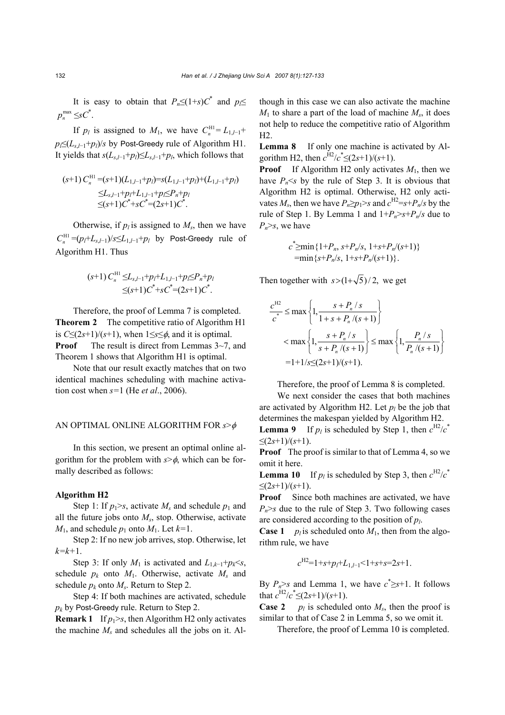It is easy to obtain that  $P_n \leq (1+s)C^*$  and  $p \leq$  $p_n^{\max} \leq sC^*$ .

If *p<sub>l</sub>* is assigned to *M*<sub>1</sub>, we have  $C_n^{\text{H1}} = L_{1,l-1}$ + *p*<sub>l</sub>≤(*L<sub>s</sub>*,*l*−1+*p*<sub>l</sub>)/*s* by Post-Greedy rule of Algorithm H1. It yields that  $s(L_{s,l-1}+p_l) \leq L_{s,l-1}+p_l$ , which follows that

$$
(s+1) C_n^{\text{HI}} = (s+1)(L_{1,l-1} + p_l) = s(L_{1,l-1} + p_l) + (L_{1,l-1} + p_l)
$$
  
\n
$$
\leq L_{s,l-1} + p_l + L_{1,l-1} + p_l \leq P_n + p_l
$$
  
\n
$$
\leq (s+1) C^* + s C^* = (2s+1) C^*.
$$

Otherwise, if  $p_l$  is assigned to  $M_s$ , then we have  $C_n^{\text{H1}} = (p_l + L_{s,l-1})/s \le L_{1,l-1} + p_l$  by Post-Greedy rule of Algorithm H1. Thus

$$
(s+1) C_n^{\text{HI}} \leq L_{s,l-1} + p_l + L_{1,l-1} + p_l \leq P_n + p_l
$$
  

$$
\leq (s+1) C^* + s C^* = (2s+1) C^*.
$$

Therefore, the proof of Lemma 7 is completed. **Theorem 2** The competitive ratio of Algorithm H1 is  $C \leq (2s+1)/(s+1)$ , when  $1 \leq s \leq \phi$ , and it is optimal. **Proof** The result is direct from Lemmas 3~7, and Theorem 1 shows that Algorithm H1 is optimal.

Note that our result exactly matches that on two identical machines scheduling with machine activation cost when *s=*1 (He *et al*., 2006).

# AN OPTIMAL ONLINE ALGORITHM FOR *s*>φ

In this section, we present an optimal online algorithm for the problem with  $s > \phi$ , which can be formally described as follows:

## **Algorithm H2**

Step 1: If  $p_1$ >s, activate  $M_s$  and schedule  $p_1$  and all the future jobs onto *Ms*, stop. Otherwise, activate  $M_1$ , and schedule  $p_1$  onto  $M_1$ . Let  $k=1$ .

Step 2: If no new job arrives, stop. Otherwise, let *k=k+*1.

Step 3: If only  $M_1$  is activated and  $L_{1,k-1}+p_k \leq s$ , schedule  $p_k$  onto  $M_1$ . Otherwise, activate  $M_s$  and schedule  $p_k$  onto  $M_s$ . Return to Step 2.

Step 4: If both machines are activated, schedule *pk* by Post-Greedy rule. Return to Step 2.

**Remark** 1 If  $p_1 > s$ , then Algorithm H2 only activates the machine  $M_s$  and schedules all the jobs on it. Although in this case we can also activate the machine *M*1 to share a part of the load of machine *Ms*, it does not help to reduce the competitive ratio of Algorithm H2.

**Lemma 8** If only one machine is activated by Algorithm H2, then  $c^{H2}/c^* \leq (2s+1)/(s+1)$ .

**Proof** If Algorithm H2 only activates  $M_1$ , then we have  $P_n \leq s$  by the rule of Step 3. It is obvious that Algorithm H2 is optimal. Otherwise, H2 only activates  $M_s$ , then we have  $P_n \ge p_1 > s$  and  $c^{H2} = s + P_n/s$  by the rule of Step 1. By Lemma 1 and  $1+P_n>s+P_n/s$  due to  $P_n > s$ , we have

$$
c^* \geq \min\{1+P_n, s+P_n/s, 1+s+P_n/(s+1)\}
$$
  
= \min\{s+P\_n/s, 1+s+P\_n/(s+1)\}.

Then together with  $s > (1 + \sqrt{5})/2$ , we get

$$
\frac{c^{H2}}{c^*} \le \max\left\{1, \frac{s + P_n / s}{1 + s + P_n / (s + 1)}\right\}
$$
  

$$
< \max\left\{1, \frac{s + P_n / s}{s + P_n / (s + 1)}\right\} \le \max\left\{1, \frac{P_n / s}{P_n / (s + 1)}\right\}
$$
  
= 1 + 1/s \le (2s+1)/(s+1).

Therefore, the proof of Lemma 8 is completed.

We next consider the cases that both machines are activated by Algorithm H2. Let  $p_l$  be the job that determines the makespan yielded by Algorithm H2. **Lemma 9** If  $p_l$  is scheduled by Step 1, then  $c^{H2}/c^*$  $≤(2s+1)/(s+1).$ 

**Proof** The proof is similar to that of Lemma 4, so we omit it here.

**Lemma 10** If  $p_l$  is scheduled by Step 3, then  $c^{H2}/c^*$  $≤(2s+1)/(s+1).$ 

**Proof** Since both machines are activated, we have  $P_n$ >*s* due to the rule of Step 3. Two following cases are considered according to the position of *pl*.

**Case 1** *p<sub>l</sub>* is scheduled onto  $M_1$ , then from the algorithm rule, we have

$$
c^{H2}=1+s+p_l+L_{1,l-1}<1+s+s=2s+1.
$$

By  $P_n$ >*s* and Lemma 1, we have  $c^* \geq s+1$ . It follows that  $c^{H2}/c^* \leq (2s+1)/(s+1)$ .

**Case 2** *p<sub>l</sub>* is scheduled onto  $M_s$ , then the proof is similar to that of Case 2 in Lemma 5, so we omit it.

Therefore, the proof of Lemma 10 is completed.